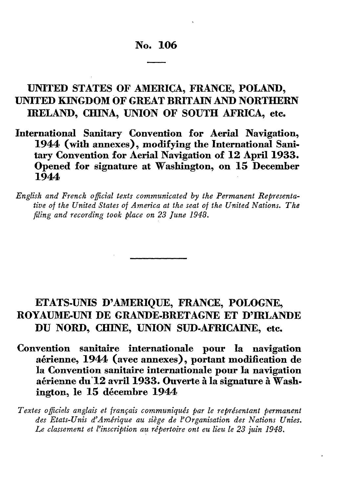# **No. 106**

# **UNITED STATES OF AMERICA, FRANCE, POLAND, UNITED KINGDOM OF GREAT BRITAIN AND NORTHERN IRELAND, CHINA, UNION OF SOUTH AFRICA, etc.**

**International Sanitary Convention for Aerial Navigation, 1944 (with annexes), modifying the International Sani tary Convention for Aerial Navigation of 12 April 1933. Opened for signature at Washington, on 15 December 1944**

*English and French official texts communicated by the Permanent Representa tive of the United States of America at the seat of the United Nations. The fling and recording took place on 23 June 1948.*

# **ETATS-UNIS D'AMERIQUE, FRANCE, POLOGNE, ROYAUME-UNI DE GRANDE-BRETAGNE ET D'IRLANDE DU NORD, CHINE, UNION SUD-AFRICAINE, etc.**

**Convention sanitaire internationale pour la navigation**  aérienne, 1944 (avec annexes), portant modification de **la Convention sanitaire internationale pour la navigation**  aérienne du 12 avril 1933. Ouverte à la signature à Washington, le 15 décembre 1944

*Textes officiels anglais et français communiqués par le représentant permanent des Etats-Unis d'Amérique au siège de l'Organisation des Nations Unies. Le classement et l'inscription au répertoire ont eu lieu le 23 juin 1948.*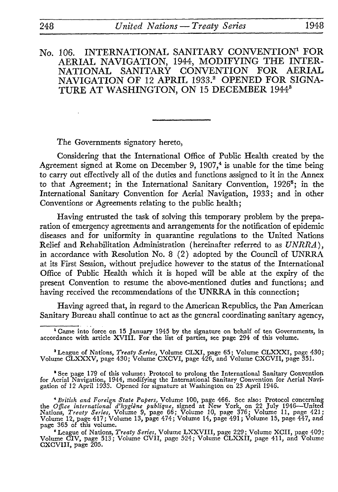# No. 106. INTERNATIONAL SANITARY CONVENTION<sup>1</sup> FOR AERIAL NAVIGATION, 1944, MODIFYING THE INTER NATIONAL SANITARY CONVENTION NAVIGATION OF 12 APRIL 1933.<sup>2</sup> OPENED FOR SIGNA-TURE AT WASHINGTON, ON 15 DECEMBER 19443

The Governments signatory hereto,

Considering that the International Office of Public Health created by the Agreement signed at Rome on December 9,  $1907<sup>4</sup>$  is unable for the time being to carry out effectively all of the duties and functions assigned to it in the Annex to that Agreement; in the International Sanitary Convention, 1926<sup>5</sup>; in the International Sanitary Convention for Aerial Navigation, 1933; and in other Conventions or Agreements relating to the public health;

Having entrusted the task of solving this temporary problem by the prepa ration of emergency agreements and arrangements for the notification of epidemic diseases and for uniformity in quarantine regulations to the United Nations Relief and Rehabilitation Administration (hereinafter referred to as *UNRRA},*  in accordance with Resolution No. 8 (2) adopted by the Council of UNRRA at its First Session, without prejudice however to the status of the International Office of Public Health which it is hoped will be able at the expiry of the present Convention to resume the above-mentioned duties and functions; and having received the recommendations of the UNRRA in this connection;

Having agreed that, in regard to the American Republics, the Pan American Sanitary Bureau shall continue to act as the general coordinating sanitary agency,

' League of Nations, *Treaty Series,* Volume CLXI, page 65 ; Volume CLXXXI, page 430 ; Volume CLXXXV, page 430; Volume CXCVI, page 426, and Volume CXGVII, page 351.

See page 179 of this volume: Protocol to prolong the International Sanitary Convention for Acrial Navigation, 1944, modifying the International Sanitary Convention for Acrial Navigation of 12 April 1933. Opened for signature at Washington on 23 April 1946.

<sup>4</sup> British and Foreign State Papers, Volume 100, page 466. See also: Protocol concerning the *Office international d'hygiène publique*, signed at New York, on 22 July 1946—United Nations, Treaty Series, Volume 9, page 66; Volume 12, page 417; Volume 13, page 474; Volume 14, page 491; Volume 15, page 447, and page 365 of this volume.

' League of Nations, *Treaty Series,* Volume LXXVIII, page 229 ; Volume XCII, page 409 ; Volume CIV, page 513; Volume CVII, page 524; Volume CLXXII, page 411, and Volume CXCVIII, page 205.

<sup>1</sup> Came into force on 15 January 1945 by the signature on behalf of ten Governments, in accordance with article XVIII. For the list of parties, see page 294 of this volume.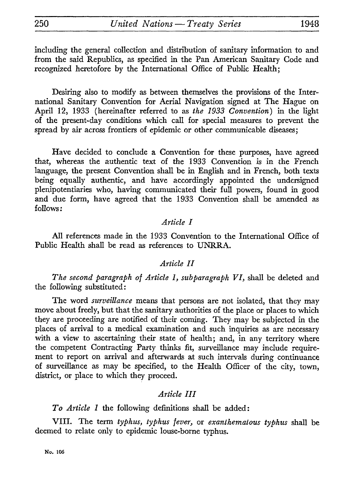including the general collection and distribution of sanitary information to and from the said Republics, as specified in the Pan American Sanitary Code and recognized heretofore by the International Office of Public Health;

Desiring also to modify as between themselves the provisions of the Inter national Sanitary Convention for Aerial Navigation signed at The Hague on April 12, 1933 (hereinafter referred to as *the 1933 Convention)* in the light of the present-day conditions which call for special measures to prevent the spread by air across frontiers of epidemic or other communicable diseases;

Have decided to conclude a Convention for these purposes, have agreed that, whereas the authentic text of the 1933 Convention is in the French language, the present Convention shall be in English and in French, both texts being equally authentic, and have accordingly appointed the undersigned plenipotentiaries who, having communicated their full powers, found in good and due form, have agreed that the 1933 Convention shall be amended as follows:

## *Article I*

All references made in the 1933 Convention to the International Office of Public Health shall be read as references to UNRRA.

### *Article II*

*The second paragraph of Article 1, subparagraph VI,* shall be deleted and the following substituted:

The word *surveillance* means that persons are not isolated, that they may move about freely, but that the sanitary authorities of the place or places to which they are proceeding are notified of their coming. They may be subjected in the places of arrival to a medical examination and such inquiries as are necessary with a view to ascertaining their state of health; and, in any territory where the competent Contracting Party thinks fit, surveillance may include require ment to report on arrival and afterwards at such intervals during continuance of surveillance as may be specified, to the Health Officer of the city, town, district, or place to which they proceed.

## *Article HI*

*To Article 1* the following definitions shall be added:

VIII. The term *typhus, typhus fever,* or *exanthematous typhus* shall be deemed to relate only to epidemic louse-borne typhus.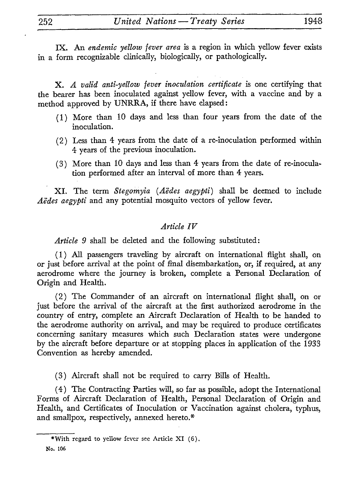IX. An *endemic yellow fever area* is a region in which yellow fever exists in a form recognizable clinically, biologically, or pathologically.

X. *A valid anti-yellow fever inoculation certificate* is one certifying that the bearer has been inoculated against yellow fever, with a vaccine and by a method approved by UNRRA, if there have elapsed :

- (1) More than 10 days and less than four years from the date of the inoculation.
- (2) Less than 4 years from the date of a re-inoculation performed within 4 years of the previous inoculation.
- (3) More than 10 days and less than 4 years from the date of re-inocula tion performed after an interval of more than 4 years.

XI. The term *Stegomyia (A'edes aegypti)* shall be deemed to include *Aëdes aegypti* and any potential mosquito vectors of yellow fever.

## *Article IV*

*Article 9* shall be deleted and the following substituted:

(1) All passengers traveling by aircraft on international flight shall, on or just before arrival at the point of final disembarkation, or, if required, at any aerodrome where the journey is broken, complete a Personal Declaration of Origin and Health.

(2) The Commander of an aircraft on international flight shall, on or just before the arrival of the aircraft at the first authorized aerodrome in the country of entry, complete an Aircraft Declaration of Health to be handed to the aerodrome authority on arrival, and may be required to produce certificates concerning sanitary measures which such Declaration states were undergone by the aircraft before departure or at stopping places in application of the 1933 Convention as hereby amended.

(3) Aircraft shall not be required to carry Bills of Health.

(4) The Contracting Parties will, so far as possible, adopt the International Forms of Aircraft Declaration of Health, Personal Declaration of Origin and Health, and Certificates of Inoculation or Vaccination against cholera, typhus, and smallpox, respectively, annexed hereto.\*

<sup>\*</sup>With regard to yellow fever see Article XI (6).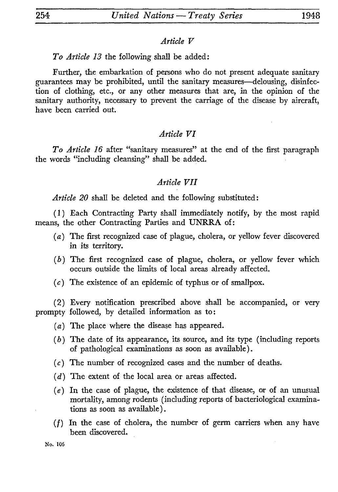#### *Article V*

### *To Article 13* the following shall be added:

Further, the embarkation of persons who do not present adequate sanitary guarantees may be prohibited, until the sanitary measures—delousing, disinfection of clothing, etc., or any other measures that are, in the opinion of the sanitary authority, necessary to prevent the carriage of the disease by aircraft, have been carried out.

### *Article VI*

*To Article 16* after "sanitary measures" at the end of the first paragraph the words "including cleansing" shall be added.

#### *Article VII*

*Article 20* shall be deleted and the following substituted:

(1) Each Contracting Party shall immediately notify, by the most rapid means, the other Contracting Parties and UNRRA of:

- *(a)* The first recognized case of plague, cholera, or yellow fever discovered in its territory.
- *(b)* The first recognized case of plague, cholera, or yellow fever which occurs outside the limits of local areas already affected.
- $(c)$  The existence of an epidemic of typhus or of smallpox.

(2) Every notification prescribed above shall be accompanied, or very prompty followed, by detailed information as to:

- *(a)* The place where the disease has appeared.
- (6) The date of its appearance, its source, and its type (including reports of pathological examinations as soon as available).
- $(c)$  The number of recognized cases and the number of deaths.
- *(d)* The extent of the local area or areas affected.
- *(e)* In the case of plague, the existence of that disease, or of an unusual mortality, among rodents (including reports of bacteriological examina tions as soon as available).
- $(f)$  In the case of cholera, the number of germ carriers when any have been discovered.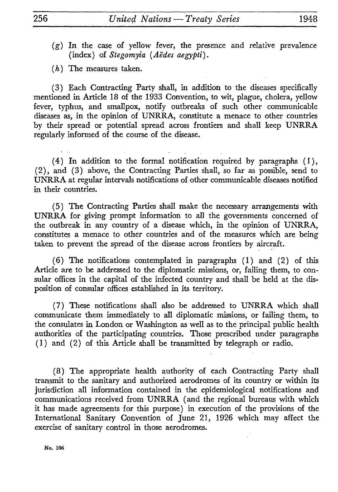(g) In the case of yellow fever, the presence and relative prevalence (index) of *Stegomyia (Aedes aegypti}.*

*(h)* The measures taken.

(3) Each Contracting Party shall, in addition to the diseases specifically mentioned in Article 18 of the 1933 Convention, to wit, plague, cholera, yellow fever, typhus, and smallpox, notify outbreaks of such other communicable diseases as, in the opinion of UNRRA, constitute a menace to other countries by their spread or potential spread across frontiers and shall keep UNRRA regularly informed of the course of the disease.

(4) In addition to the formal notification required by paragraphs (1), (2), and (3) above, the Contracting Parties shall, so far as possible, send to UNRRA at regular intervals notifications of other communicable diseases notified in their countries.

(5) The Contracting Parties shall make the necessary arrangements with UNRRA for giving prompt information to all the governments concerned of the outbreak in any country of a disease which, in the opinion of UNRRA, constitutes a menace to other countries and of the measures which are being taken to prevent the spread of the disease across frontiers by aircraft.

(6) The notifications contemplated in paragraphs (1) and (2) of this Article are to be addressed to the diplomatic missions, or, failing them, to con sular offices in the capital of the infected country and shall be held at the dis position of consular offices established in its territory.

(7) These notifications shall also be addressed to UNRRA which shall communicate them immediately to all diplomatic missions, or failing them, to the consulates in London or Washington as well as to the principal public health authorities of the participating countries. Those prescribed under paragraphs (1) and (2) of this Article shall be transmitted by telegraph or radio.

(8) The appropriate health authority of each Contracting Party shall transmit to the sanitary and authorized aerodromes of its country or within its jurisdiction all information contained in the epidemiological notifications and communications received from UNRRA (and the regional bureaus with which it has made agreements for this purpose) in execution of the provisions of the International Sanitary Convention of June 21, 1926 which may affect the exercise of sanitary control in those aerodromes.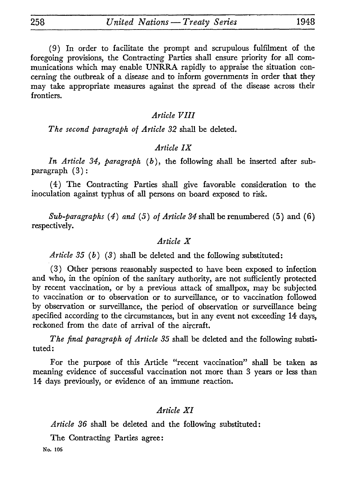(9) In order to facilitate the prompt and scrupulous fulfilment of the foregoing provisions, the Contracting Parties shall ensure priority for all com munications which may enable UNRRA rapidly to appraise the situation con cerning the outbreak of a disease and to inform governments in order that they may take appropriate measures against the spread of the disease across their frontiers.

## *Article VIII*

*The second paragraph of Article 32* shall be deleted.

## *Article IX*

In Article 34, paragraph (b), the following shall be inserted after subparagraph (3) :

(4) The Contracting Parties shall give favorable consideration to the inoculation against typhus of all persons on board exposed to risk.

*Sub-paragraphs (4) and* (5) *of Article 34* shall be renumbered (5) and (6) respectively.

### *Article X*

*Article 35 (b)* (3) shall be deleted and the following substituted:

(3) Other persons reasonably suspected to have been exposed to infection and who, in the opinion of the sanitary authority, are not sufficiently protected by recent vaccination, or by a previous attack of smallpox, may be subjected to vaccination or to observation or to surveillance, or to vaccination followed by observation or surveillance, the period of observation or surveillance being specified according to the circumstances, but in any event not exceeding 14 days, reckoned from the date of arrival of the aircraft.

*The find paragraph of Article 35* shall be deleted and the following substi tuted:

For the purpose of this Article "recent vaccination" shall be taken as meaning evidence of successful vaccination not more than 3 years or less than 14 days previously, or evidence of an immune reaction.

## *Article XI*

*Article 36* shall be deleted and the following substituted:

The Contracting Parties agree: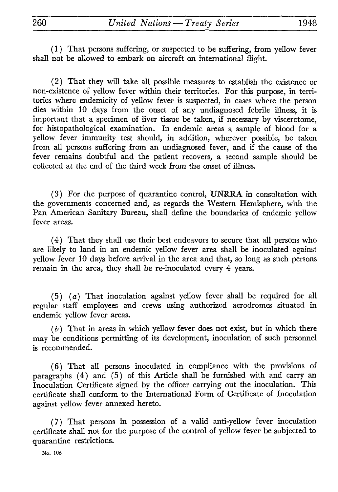( 1 ) That persons suffering, or suspected to be suffering, from yellow fever shall not be allowed to embark on aircraft on international flight.

(2) That they will take all possible measures to establish the existence or non-existence of yellow fever within their territories. For this purpose, in terri tories where endemicity of yellow fever is suspected, in cases where the person dies within 10 days from the onset of any undiagnosed febrile illness, it is important that a specimen of liver tissue be taken, if necessary by viscerotome, for histopathological examination. In endemic areas a sample of blood for a yellow fever immunity test should, in addition, wherever possible, be taken from all persons suffering from an undiagnosed fever, and if the cause of the fever remains doubtful and the patient recovers, a second sample should be collected at the end of the third week from the onset of illness.

(3) For the purpose of quarantine control, UNRRA in consultation with the governments concerned and, as regards the Western Hemisphere, with the Pan American Sanitary Bureau, shall define the boundaries of endemic yellow fever areas.

(4) That they shall use their best endeavors to secure that all persons who are likely to land in an endemic yellow fever area shall be inoculated against yellow fever 10 days before arrival in the area and that, so long as such persons remain in the area, they shall be re-inoculated every 4 years.

(5) (a) That inoculation against yellow fever shall be required for all regular staff employees and crews using authorized aerodromes situated in endemic yellow fever areas.

( *b* ) That in areas in which yellow fever does not exist, but in which there may be conditions permitting of its development, inoculation of such personnel is recommended.

(6) That all persons inoculated in compliance with the provisions of paragraphs (4) and (5) of this Article shall be furnished with and carry an Inoculation Certificate signed by the officer carrying out the inoculation. This certificate shall conform to the International Form of Certificate of Inoculation against yellow fever annexed hereto.

(7) That persons in possession of a valid anti-yellow fever inoculation certificate shall not for the purpose of the control of yellow fever be subjected to quarantine restrictions.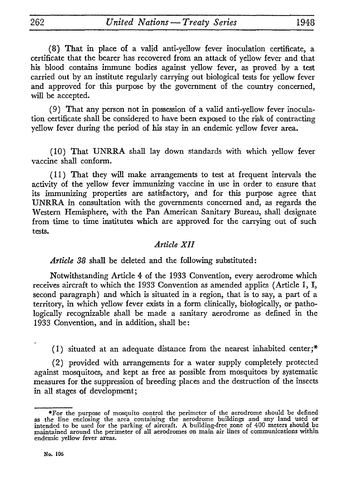(8) That in place of a valid anti-yellow fever inoculation certificate, a certificate that the bearer has recovered from an attack of yellow fever and that his blood contains immune bodies against yellow fever, as proved by a test carried out by an institute regularly carrying out biological tests for yellow fever and approved for this purpose by the government of the country concerned, will be accepted.

(9) That any person not in possession of a valid anti-yellow fever inocula tion certificate shall be considered to have been exposed to the risk of contracting yellow fever during the period of his stay in an endemic yellow fever area.

(10) That UNRRA shall lay down standards with which yellow fever vaccine shall conform.

(11) That they will make arrangements to test at frequent intervals the activity of the yellow fever immunizing vaccine in use in order to ensure that its immunizing properties are satisfactory, and for this purpose agree that UNRRA in consultation with the governments concerned and, as regards the Western Hemisphere, with the Pan American Sanitary Bureau, shall designate from time to time institutes which are approved for the carrying out of such tests.

## *Article XII*

*Article 38* shall be deleted and the following substituted:

Notwithstanding Article 4 of the 1933 Convention, every aerodrome which receives aircraft to which the 1933 Convention as amended applies (Article 1, I, second paragraph) and which is situated in a region, that is to say, a part of a territory, in which yellow fever exists in a form clinically, biologically, or patho logically recognizable shall be made a sanitary aerodrome as defined in the 1933 Convention, and in addition, shall be:

(1) situated at an adequate distance from the nearest inhabited center;\*

(2) provided with arrangements for a water supply completely protected against mosquitoes, and kept as free as possible from mosquitoes by systematic measures for the suppression of breeding places and the destruction of the insects in all stages of development;

<sup>\*</sup>For the purpose of mosquito control the perimeter of the aerodrome should be defined as the line enclosing the area containing the aerodrome buildings and any land used or intended to be used for the parking of aircraft. A building-free zone of 400 meters should be maintained around the perimeter of all ae endemic yellow fever areas.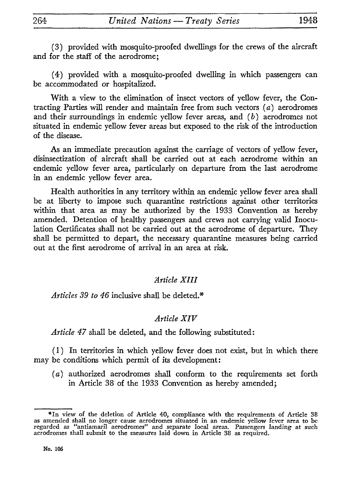(3) provided with mosquito-proofed dwellings for the crews of the aircraft and for the staff of the aerodrome;

(4) provided with a mosquito-proofed dwelling in which passengers can be accommodated or hospitalized.

With a view to the elimination of insect vectors of yellow fever, the Con tracting Parties will render and maintain free from such vectors  $(a)$  aerodromes and their surroundings in endemic yellow fever areas, and *(b)* aerodromes not situated in endemic yellow fever areas but exposed to the risk of the introduction of the disease.

As an immediate precaution against the carriage of vectors of yellow fever, disinsectization of aircraft shall be carried out at each aerodrome within an endemic yellow fever area, particularly on departure from the last aerodrome in an endemic yellow fever area.

Health authorities in any territory within an endemic yellow fever area shall be at liberty to impose such quarantine restrictions against other territories within that area as may be authorized by the 1933 Convention as hereby amended. Detention of healthy passengers and crews not carrying valid Inocu lation Certificates shall not be carried out at the aerodrome of departure. They shall be permitted to depart, the necessary quarantine measures being carried out at the first aerodrome of arrival in an area at risk.

# *Article XIII*

*Articles 39 to 46* inclusive shall be deleted.\*

### *Article XIV*

*Article 47* shall be deleted, and the following substituted:

( 1 ) In territories in which yellow fever does not exist, but in which there may be conditions which permit of its development:

*(a)* authorized aerodromes shall conform to the requirements set forth in Article 38 of the 1933 Convention as hereby amended;

<sup>\*</sup>In view of the deletion of Article 40, compliance with the requirements of Article 38 as amended shall no longer cause aerodromes situated in an endemic yellow fever area to be regarded as "antiamaril aerodromes" and sepa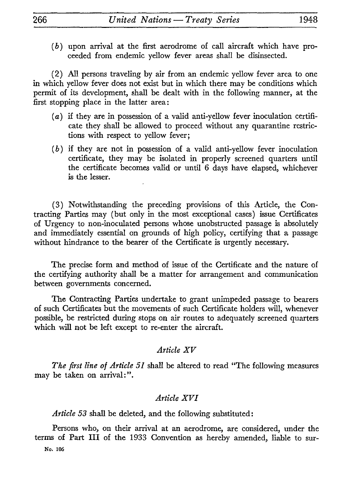*(b)* upon arrival at the first aerodrome of call aircraft which have pro ceeded from endemic yellow fever areas shall be disinsected.

(2) All persons traveling by air from an endemic yellow fever area to one in which yellow fever does not exist but in which there may be conditions which permit of its development, shall be dealt with in the following manner, at the first stopping place in the latter area:

- (a) if they are in possession of a valid anti-yellow fever inoculation certifi cate they shall be allowed to proceed without any quarantine restric tions with respect to yellow fever;
- *(b)* if they are not in possession of a valid anti-yellow fever inoculation certificate, they may be isolated in properly screened quarters until the certificate becomes valid or until 6 days have elapsed, whichever is the lesser.

(3) Notwithstanding the preceding provisions of this Article, the Con tracting Parties may (but only in the most exceptional cases) issue Certificates of Urgency to non-inoculated persons whose unobstructed passage is absolutely and immediately essential on grounds of high policy, certifying that a passage without hindrance to the bearer of the Certificate is urgently necessary.

The precise form and method of issue of the Certificate and the nature of the certifying authority shall be a matter for arrangement and communication between governments concerned.

The Contracting Parties undertake to grant unimpeded passage to bearers of such Certificates but the movements of such Certificate holders will, whenever possible, be restricted during stops on air routes to adequately screened quarters which will not be left except to re-enter the aircraft.

## *Article XV*

*The first line of Article 51* shall be altered to read "The following measures may be taken on arrival:".

## *Article XVI*

*Article 53* shall be deleted, and the following substituted :

Persons who, on their arrival at an aerodrome, are considered, under the terms of Part III of the 1933 Convention as hereby amended, liable to sur-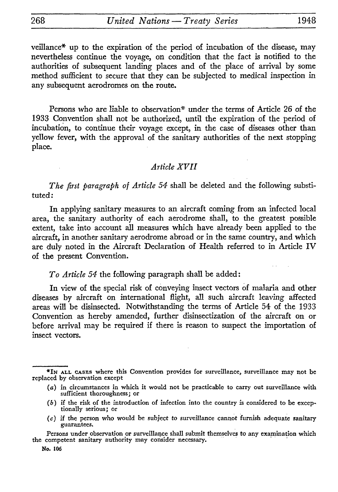veillance\* up to the expiration of the period of incubation of the disease, may nevertheless continue the voyage, on condition that the fact is notified to the authorities of subsequent landing places and of the place of arrival by some method sufficient to secure that they can be subjected to medical inspection in any subsequent aerodromes on the route.

Persons who are liable to observation\* under the terms of Article 26 of the 1933 Convention shall not be authorized, until the expiration of the period of incubation, to continue their voyage except, in the case of diseases other than yellow fever, with the approval of the sanitary authorities of the next stopping place.

## *Article XVII*

*The first paragraph of Article 54* shall be deleted and the following substi tuted:

In applying sanitary measures to an aircraft coming from an infected local area, the sanitary authority of each aerodrome shall, to the greatest possible extent, take into account all measures which have already been applied to the aircraft, in another sanitary aerodrome abroad or in the same country, and which are duly noted in the Aircraft Declaration of Health referred to in Article IV of the present Convention.

### *To Article 54* the following paragraph shall be added:

In view of the special risk of conveying insect vectors of malaria and other diseases by aircraft on international flight, all such aircraft leaving affected areas will be disinsected. Notwithstanding the terms of Article 54 of the 1933 Convention as hereby amended, further disinsectization of the aircraft on or before arrival may be required if there is reason to suspect the importation of insect vectors.

- *(b)* if the risk of the introduction of infection into the country is considered to be excep tionally serious ; or
- *(c)* if the person who would be subject to surveillance cannot furnish adequate sanitary guarantees.

<sup>\*!</sup>N ALL CASES where this Convention provides for surveillance, surveillance may not be replaced by observation except

<sup>(</sup>a) in circumstances in which it would not be practicable to carry out surveillance with sufficient thoroughness *;* or

Persons under observation or surveillance shall submit themselves to any examination which the competent sanitary authority may consider necessary.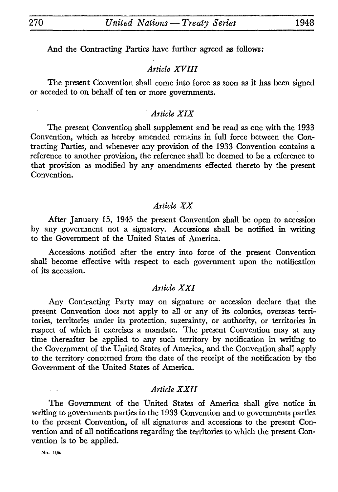And the Contracting Parties have further agreed as follows:

## *Article XVIII*

The present Convention shall come into force as soon as it has been signed or acceded to on behalf of ten or more governments.

## *Article XIX*

The present Convention shall supplement and be read as one with the 1933 Convention, which as hereby amended remains in full force between the Con tracting Parties, and whenever any provision of the 1933 Convention contains a reference to another provision, the reference shall be deemed to be a reference to that provision as modified by any amendments effected thereto by the present Convention.

### *Article XX*

After January 15, 1945 the present Convention shall be open to accession by any government not a signatory. Accessions shall be notified in writing to the Government of the United States of America.

Accessions notified after the entry into force of the present Convention shall become effective with respect to each government upon the notification of its accession.

## *Article XXI*

Any Contracting Party may on signature or accession declare that the present Convention does not apply to all or any of its colonies, overseas terri tories, territories under its protection, suzerainty, or authority, or territories in respect of which it exercises a mandate. The present Convention may at any time thereafter be applied to any such territory by notification in writing to the Government of the United States of America, and the Convention shall apply to the territory concerned from the date of the receipt of the notification by the Government of the United States of America.

## *Article XXII*

The Government of the United States of America shall give notice in writing to governments parties to the 1933 Convention and to governments parties to the present Convention, of all signatures and accessions to the present Con vention and of all notifications regarding the territories to which the present Con vention is to be applied.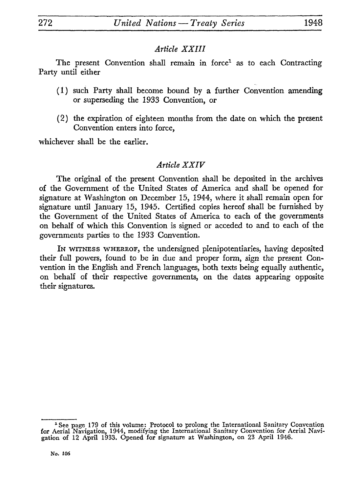## *Article XXIII*

The present Convention shall remain in force<sup>1</sup> as to each Contracting Party until either

- (1) such Party shall become bound by a further Convention amending or superseding the 1933 Convention, or
- (2) the expiration of eighteen months from the date on which the present Convention enters into force,

whichever shall be the earlier.

## *Article XXIV*

The original of the present Convention shall be deposited in the archives of the Government of the United States of America and shall be opened for signature at Washington on December 15, 1944, where it shall remain open for signature until January 15, 1945. Certified copies hereof shall be furnished by the Government of the United States of America to each of the governments on behalf of which this Convention is signed or acceded to and to each of the governments parties to the 1933 Convention.

IN WITNESS WHEREOF, the undersigned plenipotentiaries, having deposited their full powers, found to be in due and proper form, sign the present Con vention in the English and French languages, both texts being equally authentic, on behalf of their respective governments, on the dates appearing opposite their signatures.

<sup>&#</sup>x27;See page 179 of this volume: Protocol to prolong the International Sanitary Convention for Aerial Navigation, 1944, modifying the International Sanitary Convention for Aerial Navi gation of 12 April 1933. Opened for signature at Washington, on 23 April 1946.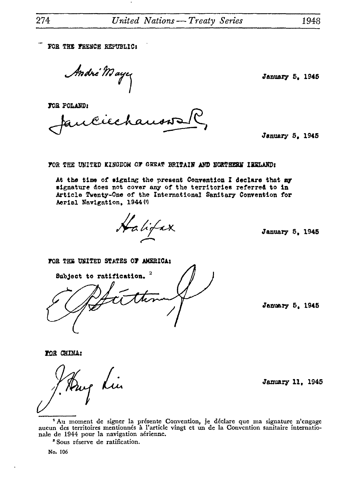FOR THE FRENCH REPUBLIC:

André Mayez

FOB POLAHD:

January 5, 1945

January 5, 1946

FOR THE UNITED KINGDOM OF GREAT BRITAIN AND NORTHERN IRELAND:

At the time of signing the present Convention I declare that my signature does not cover any of the territories referred to in Article Twenty-One of the International Sanitary Convention for Aerial Navigation, 1944 W

Halifax

January 5, 1945

FOR THE UNITED STATES OF AMERICA:



January 5, 1945

ZOB CHINA:

Lü.

January 11, 1945

1 Au moment de signer la présente Convention, je déclare que ma signature n'engage aucun des territoires mentionnés à l'article vingt et un de la Convention sanitaire internatio nale de 1944 pour la navigation aérienne.

3 Sous réserve de ratification.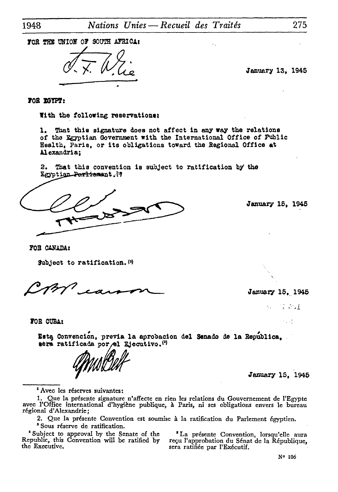TOR THE UNION OF SOUTH AFRICAR

January 13, 1945

FOR EGYPT:

With the following reservations:

1. That this signature does not affect in any way the relations of the Egyptian Government with the International Office of Public Health, Paris, or its obligations toward the Regional Office at Alexandria;

2. That this convention is subject to ratification by the Lgyptian Parliament. (1)

January 15, 1945

FOB CANADA:

Subject to ratification.<sup>(3)</sup>

January 15, 1945

化二乙二烷基  $\mathcal{F} \subset \mathcal{F}^{\sharp}_{\mathbf{a}}$ 

fOB CUBA:

Esta Convención, previa la aprobacion del Senado de la Republica, sera ratificada por el Ejecutivo.<sup>(1)</sup>

January 15, 1945

\*Avec les réserves suivantes:

1. Que la présente signature n'affecte en rien les relations du Gouvernement de l'Egypte avec l'Office international d'hygiène publique, à Paris, ni ses obligations envers le bureau régional d'Alexandrie;

2. Que la présente Convention est soumise à la ratification du Parlement égyptien. "Sous réserve de ratification.

'Subject to approval by the Senate of the 'La présente Convention, lorsqu'elle aura Republic, this Convention will be ratified by the Executive.

sera ratifiée par l'Exécutif.

N« 106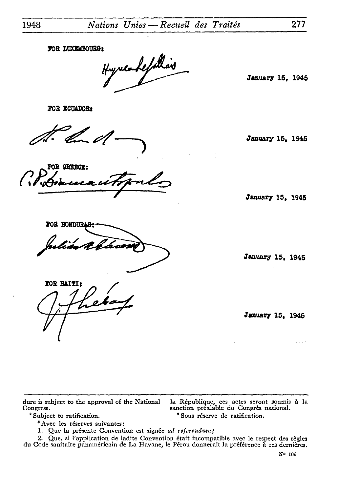FOR LUXEMBOURG:

*f £^^'* January 15, 1945

January 15, 1945

*f* January 15, 1945

FOB 2CUADOB:

por:<br>*f c*/

FOR GREECE: *•c^^e^ftrjftr"\*\*-^!!?-^-}*

FOR HONDUR

January 15, 1945

January 15, 1945

 $1.111$ 

dure is subject to the approval of the National la République, ces actes seront soumis à la<br>Congress. sanction préalable du Congrès national.

*n*

TOR HAITI:

"Avec les réserves suivantes:

Congress.<br>
<sup>2</sup> Subject to ratification.<br>
<sup>2</sup> Sous réserve de ratification.

1. Que la présente Convention est signée *ad référendum;*

*2.* Que, si l'application de ladite Convention était incompatible avec le respect des règles du Code sanitaire panaméricain de La Havane, le Pérou donnerait la préférence à ces dernières.

NO 106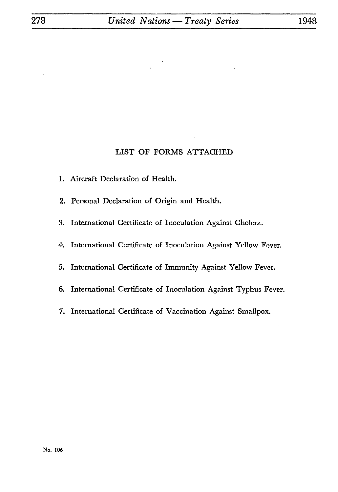### LIST OF FORMS ATTACHED

- 1. Aircraft Declaration of Health.
- 2. Personal Declaration of Origin and Health.
- 3. International Certificate of Inoculation Against Cholera.
- 4. International Certificate of Inoculation Against Yellow Fever.
- 5. International Certificate of Immunity Against Yellow Fever.
- 6. International Certificate of Inoculation Against Typhus Fever.
- 7. International Certificate of Vaccination Against Smallpox.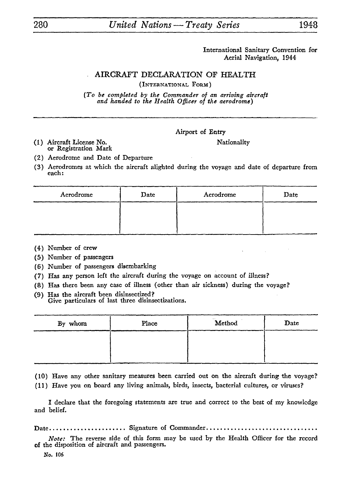# 280 *United Nations — Treaty Series* 1948

International Sanitary Convention for Aerial Navigation, 1944

### AIRCRAFT DECLARATION OF HEALTH (INTERNATIONAL FORM)

*(To be completed by the Commander of an arriving aircraft and handed to the Health Officer of the aerodrome)*

#### Airport of Entry

(1) Aircraft License No. Nationality or Registration Mark

(2) Aerodrome and Date of Departure

(3) Aerodromes at which the aircraft alighted during the voyage and date of departure from each:

| Aerodrome | Date | Aerodrome | Date |  |
|-----------|------|-----------|------|--|
|           |      |           |      |  |
|           |      |           |      |  |

- (4) Number of crew
- (5) Number of passengers
- (6) Number of passengers disembarking
- (7) Has any person left the aircraft during the voyage on account of illness?
- (8) Has there been any case of illness (other than air sickness) during the voyage?
- (9) Has the aircraft been disinsectized? Give particulars of last three disinsectizations.

| By whom | Place | Method | Date |
|---------|-------|--------|------|
|         |       |        |      |
|         |       |        |      |

(10) Have any other sanitary measures been carried out on the aircraft during the voyage?

(11) Have you on board any living animals, birds, insects, bacterial cultures, or viruses?

I declare that the foregoing statements are true and correct to the best of my knowledge and belief.

Date...................... Signature of Commander................................

*Note:* The reverse side of this form may be used by the Health Officer for the record of the disposition of aircraft and passengers.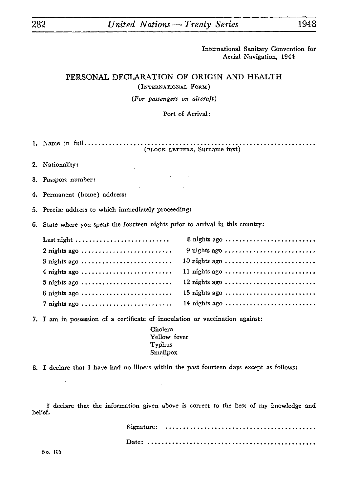# 282\_\_\_\_\_\_\_\_\_*United Nations —Treaty Series\_\_\_\_\_\_\_\_\_*<sup>1948</sup>

International Sanitary Convention for Aerial Navigation, 1944

# PERSONAL DECLARATION OF ORIGIN AND HEALTH (INTERNATIONAL FORM) (For *passengers on aircraft)*

#### Port of Arrival:

- 1. Name in full. ................................................... (BLOCK. LETTERS, Surname first)
- 2. Nationality:
- 3. Passport number:
- 4. Permanent (home) address:
- 5. Precise address to which immediately proceeding:
- 6. State where you spent the fourteen nights prior to arrival in this country:

|                | 8 nights ago   |
|----------------|----------------|
| $2$ nights ago | $9$ nights ago |
| $3$ nights ago | 10 nights ago  |
| $4$ nights ago | 11 nights ago  |
| $5$ nights ago | 12 nights ago  |
| $6$ nights ago | 13 nights ago  |
| 7 nights ago   | 14 nights ago  |

7. I am in possession of a certificate of inoculation or vaccination against:

Cholera Yellow fever Typhus Smallpox

8. I declare that I have had no illness within the past fourteen days except as follows:

 $\epsilon = 1$ 

I declare that the information given above is correct to the best of my knowledge and belief.

|  | Signature: $\ldots \ldots \ldots \ldots \ldots \ldots \ldots \ldots \ldots \ldots \ldots \ldots \ldots$ |  |
|--|---------------------------------------------------------------------------------------------------------|--|
|  |                                                                                                         |  |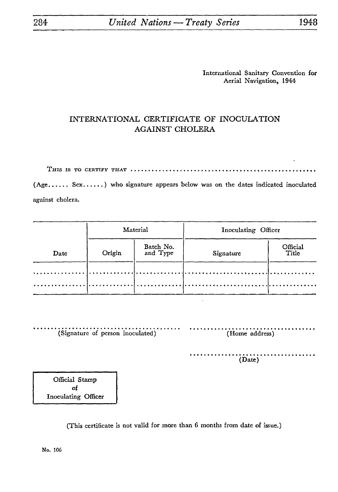## INTERNATIONAL CERTIFICATE OF INOCULATION AGAINST CHOLERA

THIS IS TO CERTIFY THAT .....................................................

(Age...... Sex......) who signature appears below was on the dates indicated inoculated against cholera.

|      |        | Material              | Inoculating Officer |                   |  |  |
|------|--------|-----------------------|---------------------|-------------------|--|--|
| Date | Origin | Batch No.<br>and Type | Signature           | Official<br>Title |  |  |
|      |        |                       |                     |                   |  |  |
|      |        |                       |                     |                   |  |  |

| (Signature of person inoculated) | (Home address) |
|----------------------------------|----------------|
|                                  | (Date)         |

Official Stamp of Inoculating Officer

(This certificate is not valid for more than 6 months from date of issue.)

. . .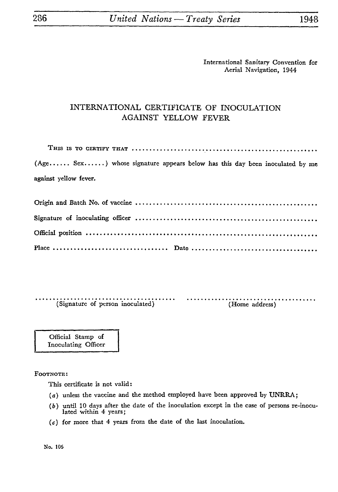## INTERNATIONAL CERTIFICATE OF INOCULATION AGAINST YELLOW FEVER

| (Age Sex) whose signature appears below has this day been inoculated by me |
|----------------------------------------------------------------------------|
| against yellow fever.                                                      |
|                                                                            |
|                                                                            |
|                                                                            |
|                                                                            |

(Signature of person inoculated) (Home address)

Official Stamp of Inoculating Officer

FOOTNOTE:

This certificate is not valid:

- $(a)$  unless the vaccine and the method employed have been approved by UNRRA;
- (6) until 10 days after the date of the inoculation except in the case of persons re-inocu lated within 4 years;
- *(c)* for more that 4 years from the date of the last inoculation.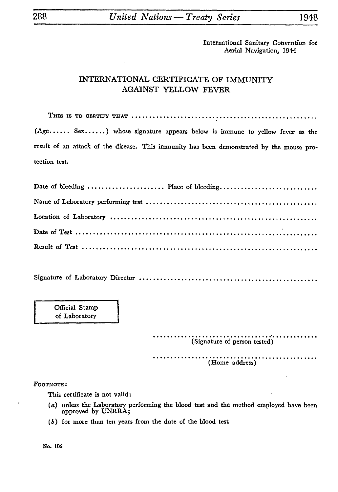## INTERNATIONAL CERTIFICATE OF IMMUNITY AGAINST YELLOW FEVER

THIS IS **TO** CERTIFY THAT ..................................................... (Age...... Sex......) whose signature appears below is immune to yellow fever as the result of an attack of the disease. This immunity has been demonstrated by the mouse pro tection test.

| Date of bleeding  Place of bleeding |  |
|-------------------------------------|--|
|                                     |  |
|                                     |  |
|                                     |  |
|                                     |  |

Signature of Laboratory Director

Official Stamp of Laboratory

> (Signature of person tested) . . . . . . . . . . . . . . . (Home address)

FOOTNOTE:

This certificate is not valid:

- (a) unless the Laboratory performing the blood test and the method employed have been approved by UNRRA;
- (6) for more than ten years from the date of the blood test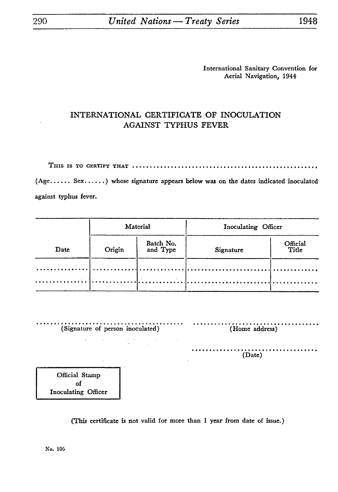## INTERNATIONAL CERTIFICATE OF INOCULATION AGAINST TYPHUS FEVER

THIS IS TO CERTIFY THAT ..................

(Age...... Sex......) whose signature appears below was on the dates indicated inoculated against typhus fever.

|      |        | Material                   | Inoculating Officer |                   |  |
|------|--------|----------------------------|---------------------|-------------------|--|
| Date | Origin | Batch No.<br>and Type      | Signature           | Official<br>Title |  |
|      |        | The company of the company |                     |                   |  |

(Signature of person inoculated) (Home address) . . . . . . . (Date)

Official Stamp of Inoculating Officer

(This certificate is not valid for more than 1 year from date of issue.)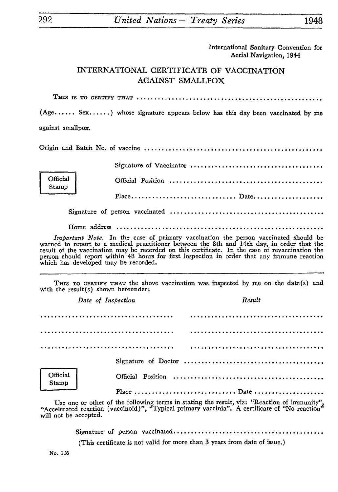# INTERNATIONAL CERTIFICATE OF VACCINATION AGAINST SMALLPOX

THIS IS TO CERTIFY THAT ................

(Age...... Sex......) whose signature appears below has this day been vaccinated by me against smallpox.

Origin and Batch No. of vaccine

| Official<br>Stamp |  |
|-------------------|--|
|                   |  |
|                   |  |

Home address ...........................................................

*Important Note.* In the case of primary vaccination the person vaccinated should be warned to report to a medical practitioner between the 8th and 14th day, in order that the result of the vaccination may be recorded on this certificate. In the case of revaccination the person should report within 48 hours for first inspection in order that any immune reaction which has developed may be recorded.

THIS TO CERTIFY THAT the above vaccination was inspected by me on the date(s) and with the result(s) shown hereunder:

*Date of Inspection* Result Signature of Doctor .................................. Official Official Position Stamp Place ............................. Date

Use one or other of the following terms in stating the result, viz: "Reaction of immunity", "Accelerated reaction (vaccinoid)", "Typical primary vaccinia". A certificate of "No reaction" will not be accepted.

Signature of person vaccinated.................................

(This certificate is not valid for more than 3 years from date of issue.)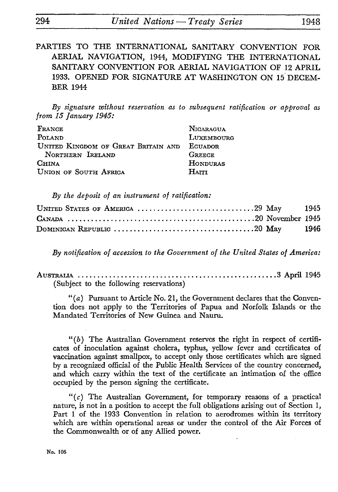PARTIES TO THE INTERNATIONAL SANITARY CONVENTION FOR AERIAL NAVIGATION, 1944, MODIFYING THE INTERNATIONAL SANITARY CONVENTION FOR AERIAL NAVIGATION OF 12 APRIL 1933. OPENED FOR SIGNATURE AT WASHINGTON ON 15 DECEM BER 1944

*By signature without reservation as to subsequent ratification or approval as from 15 January 1945:*

| FRANCE                              | NICARAGUA       |
|-------------------------------------|-----------------|
| POLAND                              | LUXEMBOURG      |
| UNITED KINGDOM OF GREAT BRITAIN AND | ECUADOR         |
| NORTHERN IRELAND                    | <b>GREEGE</b>   |
| <b>CHINA</b>                        | <b>HONDURAS</b> |
| UNION OF SOUTH AFRICA               | HAITI           |

*By the deposit of an instrument of ratification:*

|  |  |  |  | UNITED STATES OF AMERICA 29 May 1945 |  |
|--|--|--|--|--------------------------------------|--|
|  |  |  |  |                                      |  |
|  |  |  |  |                                      |  |

*By notification of accession to the Government of the United States of America:*

AUSTRALIA ................................................... 3 April 1945 (Subject to the following reservations)

" $(a)$  Pursuant to Article No. 21, the Government declares that the Convention does not apply to the Territories of Papua and Norfolk Islands or the Mandated Territories of New Guinea and Nauru.

*"(b)* The Australian Government reserves the right in respect of certifi cates of inoculation against cholera, typhus, yellow fever and certificates of vaccination against smallpox, to accept only those certificates which are signed by a recognized official of the Public Health Services of the country concerned, and which carry within the text of the certificate an intimation of the office occupied by the person signing the certificate.

*"(c)* The Australian Government, for temporary reasons of a practical nature, is not in a position to accept the full obligations arising out of Section 1, Part 1 of the 1933 Convention in relation to aerodromes within its territory which are within operational areas or under the control of the Air Forces of the Commonwealth or of any Allied power.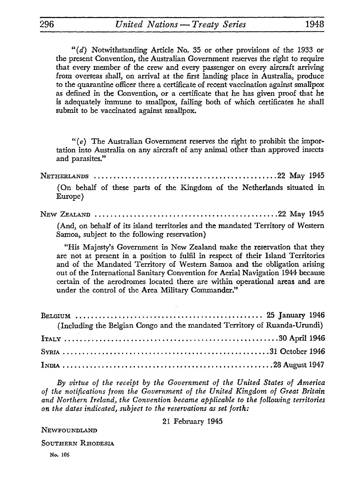" $(d)$  Notwithstanding Article No. 35 or other provisions of the 1933 or the present Convention, the Australian Government reserves the right to require that every member of the crew and every passenger on every aircraft arriving from overseas shall, on arrival at the first landing place in Australia, produce to the quarantine officer there a certificate of recent vaccination against smallpox as defined in the Convention, or a certificate that he has given proof that he is adequately immune to smallpox, failing both of which certificates he shall submit to be vaccinated against smallpox.

*"(e)* The Australian Government reserves the right to prohibit the impor tation into Australia on any aircraft of any animal other than approved insects and parasites."

NETHERLANDS ...............................................22 May 1945 (On behalf of these parts of the Kingdom of the Netherlands situated in Europe)

NEW ZEALAND ...............................................22 May 1945

(And, on behalf of its island territories and the mandated Territory of Western Samoa, subject to the following reservation)

"His Majesty's Government in New Zealand make the reservation that they are not at present in a position to fulfil in respect of their Island Territories and of the Mandated Territory of Western Samoa and the obligation arising out of the International Sanitary Convention for Aerial Navigation 1944 because certain of the aerodromes located there are within operational areas and are under the control of the Area Military Commander."

| (Including the Belgian Congo and the mandated Territory of Ruanda-Urundi) |  |
|---------------------------------------------------------------------------|--|
|                                                                           |  |
|                                                                           |  |
|                                                                           |  |

*By virtue of the receipt by the Government of the United States of America of the notifications from the Government of the United Kingdom of Great Britain and Northern Ireland, the Convention became applicable to the following territories on the dates indicated, subject to the reservations as set forth:*

21 February 1945

NEWFOUNDLAND

SOUTHERN RHODESIA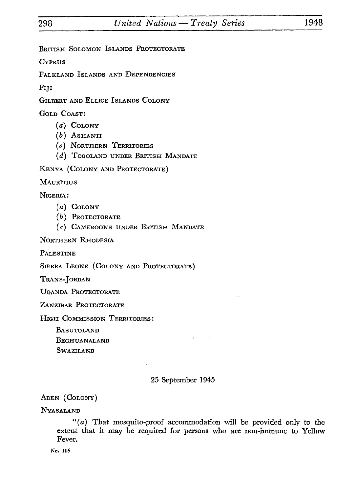BRITISH SOLOMON ISLANDS PROTECTORATE

**CYPRUS** 

FALKLAND ISLANDS AND DEPENDENCIES

FIJI

GILBERT AND ELLICE ISLANDS COLONY

GOLD COAST:

- *(a)* COLONY
- *(b)* ASHANTI
- *(c)* NORTHERN TERRITORIES
- *(d)* ToGOLAND UNDER BRITISH MANDATE

KENYA (COLONY AND PROTECTORATE)

**MAURITIUS** 

NIGERIA:

- *(a)* COLONY
- (b) PROTECTORATE
- *(c)* CAMEROONS UNDER BRITISH MANDATE

NORTHERN RHODESIA

PALESTINE

SIERRA LEONE (COLONY AND PROTECTORATE)

TRANS-JORDAN

UGANDA PROTECTORATE

ZANZIBAR PROTECTORATE

HIGH COMMISSION TERRITORIES:

BASUTOLAND BECHUANALAND SWAZILAND

# 25 September 1945

ADEN (COLONY)

NYASALAND

*"(a)* That mosquito-proof accommodation will be provided only to the extent that it may be required for persons who are non-immune to Yellow Fever.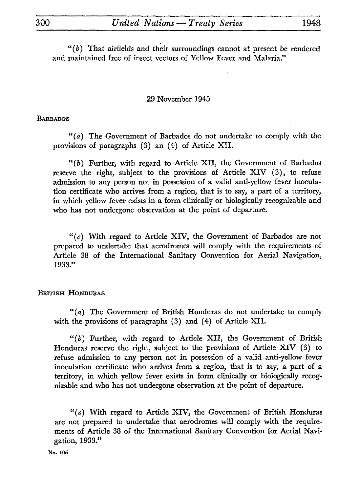*"(b)* That airfields and their surroundings cannot at present be rendered and maintained free of insect vectors of Yellow Fever and Malaria."

### 29 November 1945

#### **BARBADOS**

" $(a)$  The Government of Barbados do not undertake to comply with the provisions of paragraphs (3) an (4) of Article XII.

 $"$ (b) Further, with regard to Article XII, the Government of Barbados reserve the right, subject to the provisions of Article XIV (3), to refuse admission to any person not in possession of a valid anti-yellow fever inocula tion certificate who arrives from a region, that is to say, a part of a territory, in which yellow fever exists in a form clinically or biologically recognizable and who has not undergone observation at the point of departure.

*"(c)* With regard to Article XIV, the Government of Barbados are not prepared to undertake that aerodromes will comply with the requirements of Article 38 of the International Sanitary Convention for Aerial Navigation, 1933."

### BRITISH HONDURAS

"(a) The Government of British Honduras do not undertake to comply with the provisions of paragraphs (3) and (4) of Article XII.

 $"$ (b) Further, with regard to Article XII, the Government of British Honduras reserve the right, subject to the provisions of Article XIV (3) to refuse admission to any person not in possession of a valid anti-yellow fever inoculation certificate who arrives from a region, that is to say, a part of a territory, in which yellow fever exists in form clinically or biologically recog nizable and who has not undergone observation at the point of departure.

*"(c)* With regard to Article XIV, the Government of British Honduras are not prepared to undertake that aerodromes will comply with the require ments of Article 38 of the International Sanitary Convention for Aerial Navi gation, 1933."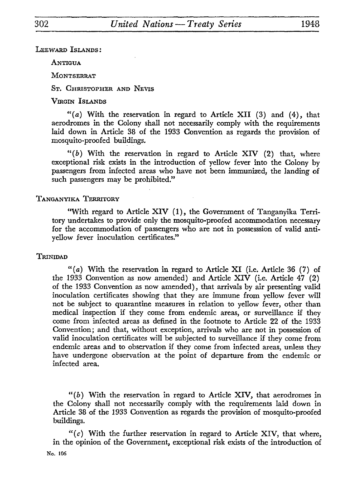LEEWARD ISLANDS:

ANTIGUA

MONTSERRAT

ST. CHRISTOPHER AND NEVIS

VIRGIN ISLANDS

*"(a)* With the reservation in regard to Article XII (3) and (4), that aerodromes in the Colony shall not necessarily comply with the requirements laid down in Article 38 of the 1933 Convention as regards the provision of mosquito-proofed buildings.

*"(b)* With the reservation in regard to Article XIV (2) that, where exceptional risk exists in the introduction of yellow fever into the Colony by passengers from infected areas who have not been immunized, the landing of such passengers may be prohibited."

#### TANGANYIKA TERRITORY

"With regard to Article XIV (1), the Government of Tanganyika Terri tory undertakes to provide only the mosquito-proofed accommodation necessary for the accommodation of passengers who are not in possesssion of valid antiyellow fever inoculation certificates."

#### **TRINIDAD**

"(a) With the reservation in regard to Article XI (i.e. Article 36 (7) of the 1933 Convention as now amended) and Article XIV (i.e. Article 47 (2) of the 1933 Convention as now amended), that arrivals by air presenting valid inoculation certificates showing that they are immune from yellow fever will not be subject to quarantine measures in relation to yellow fever, other than medical inspection if they come from endemic areas, or surveillance if they come from infected areas as defined in the footnote to Article 22 of the 1933 Convention; and that, without exception, arrivals who are not in possession of valid inoculation certificates will be subjected to surveillance if they come from endemic areas and to observation if they come from infected areas, unless they have undergone observation at the point of departure from the endemic or infected area.

*"(b)* With the reservation in regard to Article XIV, that aerodromes in the Colony shall not necessarily comply with the requirements laid down in Article 38 of the 1933 Convention as regards the provision of mosquito-proofed buildings.

*"(c)* With the further reservation in regard to Article XIV, that where, in the opinion of the Government, exceptional risk exists of the introduction of No. 106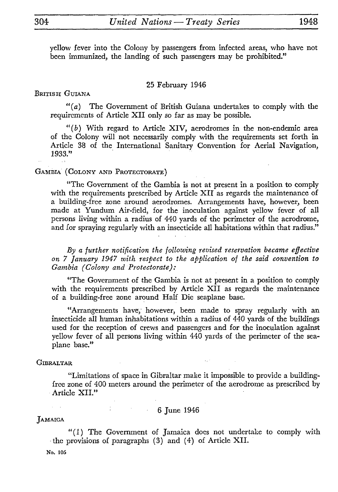yellow fever into the Colony by passengers from infected areas, who have not been immunized, the landing of such passengers may be prohibited."

#### 25 February 1946

#### BRITISH GUIANA

"(a) The Government of British Guiana undertakes to comply with the requirements of Article XII only so far as may be possible.

*"(b)* With regard to Article XIV, aerodromes in the non-endemic area of the Colony will not necessarily comply with the requirements set forth in Article 38 of the International Sanitary Convention for Aerial Navigation, 1933."

#### GAMBIA (COLONY AND PROTECTORATE)

"The Government of the Gambia is not at present in a position to comply with the requirements prescribed by Article XII as regards the maintenance of a building-free zone around aerodromes. Arrangements have, however, been made at Yundum Air-field, for the inoculation against yellow fever of all persons living within a radius of 440 yards of the perimeter of the aerodrome, and for spraying regularly with an insecticide all habitations within that radius."

*By a further notification the following revised réservation became effective on 7 January 1947 with respect to the application of the said convention to Gambia (Colony and Protectorate):*

"The Government of the Gambia is not at present in a position to comply with the requirements prescribed by Article XII as regards the maintenance of a building-free zone around Half Die seaplane base.

"Arrangements have, however, been made to spray regularly with an insecticide all human inhabitations within a radius of 440 yards of the buildings used for the reception of crews and passengers and for the inoculation against yellow fever of all persons living within 440 yards of the perimeter of the sea plane base."

#### **GIBRALTAR**

"Limitations of space in Gibraltar make it impossible to provide a buildingfree zone of 400 meters around the perimeter of the aerodrome as prescribed by Article XII."

#### 6 June 1946

#### JAMAICA

"(1) The Government of Jamaica does not undertake to comply with the provisions of paragraphs (3) and (4) of Article XII.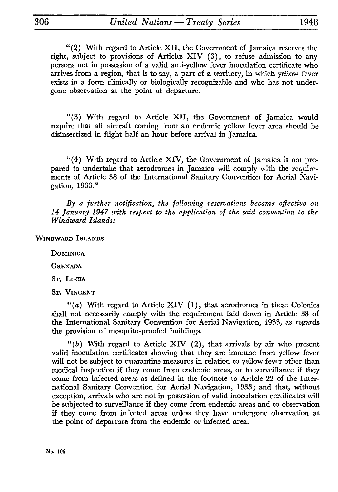"(2) With regard to Article XII, the Government of Jamaica reserves the right, subject to provisions of Articles XIV (3), to refuse admission to any persons not in possession of a valid anti-yellow fever inoculation certificate who arrives from a region, that is to say, a part of a territory, in which yellow fever exists in a form clinically or biologically recognizable and who has not under gone observation at the point of departure.

"(3) With regard to Article XII, the Government of Jamaica would require that all aircraft coming from an endemic yellow fever area should be disinsectized in flight half an hour before arrival in Jamaica.

"(4) With regard to Article XIV, the Government of Jamaica is not pre pared to undertake that aerodromes in Jamaica will comply with the require ments of Article 38 of the International Sanitary Convention for Aerial Navi gation, 1933."

*By a further notification, the following reservations became effective on 14 January 1947 with respect to the application of the said convention to the Windward Islands:*

WINDWARD ISLANDS

**DOMINICA** 

**GRENADA** 

ST. LUCIA

ST. VINCENT

*"(a)* With regard to Article XIV (1), that aerodromes in these Colonies shall not necessarily comply with the requirement laid down in Article 38 of the International Sanitary Convention for Aerial Navigation, 1933, as regards the provision of mosquito-proofed buildings.

" $(b)$  With regard to Article XIV (2), that arrivals by air who present valid inoculation certificates showing that they are immune from yellow fever will not be subject to quarantine measures in relation to yellow fever other than medical inspection if they come from endemic areas, or to surveillance if they come from infected areas as defined in the footnote to Article 22 of the International Sanitary Convention for Aerial Navigation, 1933; and that, without exception, arrivals who are not in possession of valid inoculation certificates will be subjected to surveillance if they come from endemic areas and to observation if they come from infected areas unless they have undergone observation at the point of departure from the endemic or infected area.